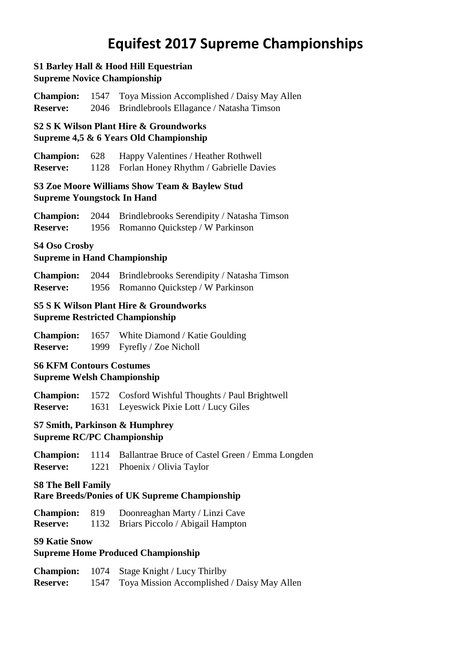# **Equifest 2017 Supreme Championships**

# **S1 Barley Hall & Hood Hill Equestrian**

**Supreme Novice Championship**

**Champion:** 1547 Toya Mission Accomplished / Daisy May Allen **Reserve:** 2046 Brindlebrools Ellagance / Natasha Timson

# **S2 S K Wilson Plant Hire & Groundworks Supreme 4,5 & 6 Years Old Championship**

**Champion:** 628 Happy Valentines / Heather Rothwell Reserve: 1128 Forlan Honey Rhythm / Gabrielle Davies

## **S3 Zoe Moore Williams Show Team & Baylew Stud Supreme Youngstock In Hand**

**Champion:** 2044 Brindlebrooks Serendipity / Natasha Timson **Reserve:** 1956 Romanno Quickstep / W Parkinson

#### **S4 Oso Crosby**

#### **Supreme in Hand Championship**

**Champion:** 2044 Brindlebrooks Serendipity / Natasha Timson **Reserve:** 1956 Romanno Quickstep / W Parkinson

#### **S5 S K Wilson Plant Hire & Groundworks Supreme Restricted Championship**

**Champion:** 1657 White Diamond / Katie Goulding **Reserve:** 1999 Fyrefly / Zoe Nicholl

#### **S6 KFM Contours Costumes**

#### **Supreme Welsh Championship**

**Champion:** 1572 Cosford Wishful Thoughts / Paul Brightwell **Reserve:** 1631 Leyeswick Pixie Lott / Lucy Giles

# **S7 Smith, Parkinson & Humphrey**

# **Supreme RC/PC Championship**

**Champion:** 1114 Ballantrae Bruce of Castel Green / Emma Longden **Reserve:** 1221 Phoenix / Olivia Taylor

**S8 The Bell Family Rare Breeds/Ponies of UK Supreme Championship**

**Champion:** 819 Doonreaghan Marty / Linzi Cave **Reserve:** 1132 Briars Piccolo / Abigail Hampton

#### **S9 Katie Snow**

#### **Supreme Home Produced Championship**

**Champion:** 1074 Stage Knight / Lucy Thirlby **Reserve:** 1547 Toya Mission Accomplished / Daisy May Allen